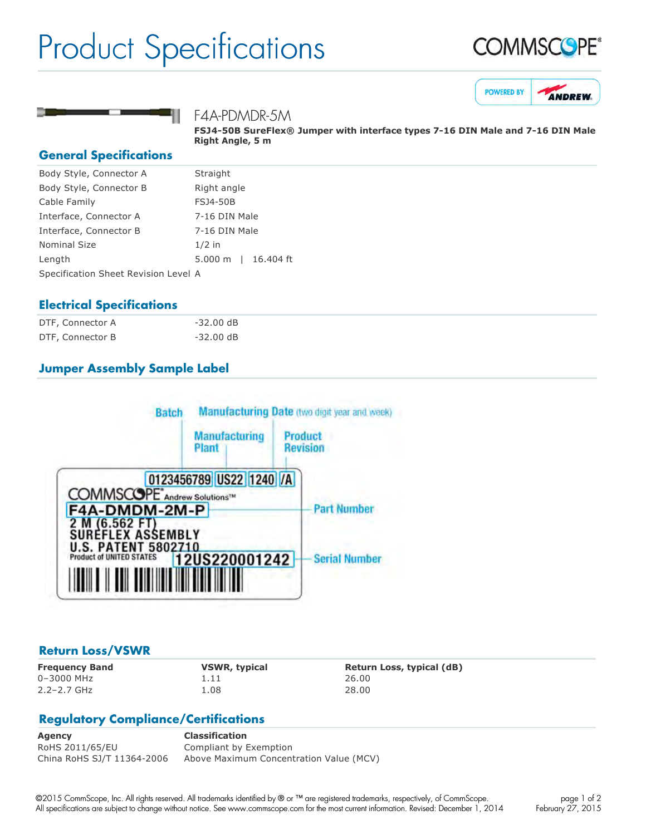## Product Specifications







F4A-PDMDR-5M

**FSJ450B SureFlex® Jumper with interface types 716 DIN Male and 716 DIN Male Right Angle, 5 m**

#### **General Specifications**

| Body Style, Connector A              | Straight                           |
|--------------------------------------|------------------------------------|
| Body Style, Connector B              | Right angle                        |
| Cable Family                         | <b>FSJ4-50B</b>                    |
| Interface, Connector A               | 7-16 DIN Male                      |
| Interface, Connector B               | 7-16 DIN Male                      |
| Nominal Size                         | $1/2$ in                           |
| Length                               | 16,404 ft<br>$5.000 \; \mathrm{m}$ |
| Specification Sheet Revision Level A |                                    |
|                                      |                                    |

#### **Electrical Specifications**

| DTF, Connector A | -32.00 dB           |
|------------------|---------------------|
| DTF, Connector B | $-32.00 \text{ dB}$ |

### **Jumper Assembly Sample Label**



#### **Return Loss/VSWR**

0–3000 MHz 1.11 26.00 2.2–2.7 GHz 1.08 28.00

**Frequency Band VSWR, typical Return Loss, typical (dB)**

#### **Regulatory Compliance/Certifications**

**Agency Classification** RoHS 2011/65/EU Compliant by Exemption China RoHS SJ/T 11364-2006 Above Maximum Concentration Value (MCV)

©2015 CommScope, Inc. All rights reserved. All trademarks identified by ® or ™ are registered trademarks, respectively, of CommScope. All specifications are subject to change without notice. See www.commscope.com for the most current information. Revised: December 1, 2014